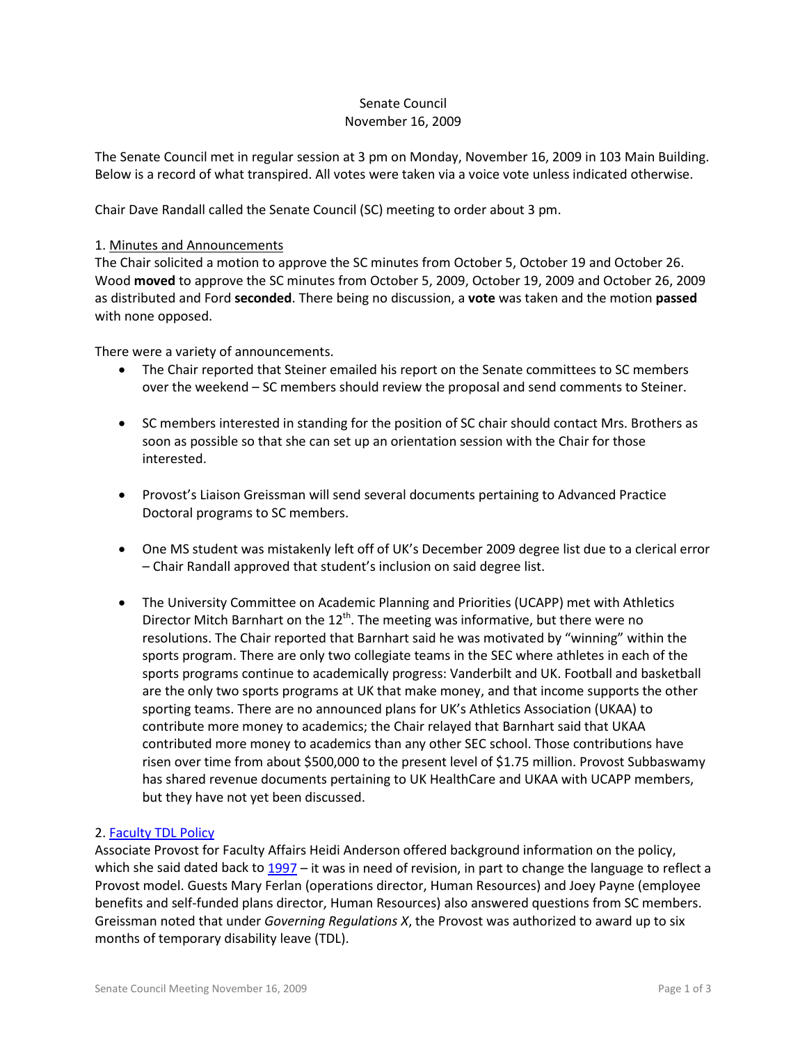### Senate Council November 16, 2009

The Senate Council met in regular session at 3 pm on Monday, November 16, 2009 in 103 Main Building. Below is a record of what transpired. All votes were taken via a voice vote unless indicated otherwise.

Chair Dave Randall called the Senate Council (SC) meeting to order about 3 pm.

#### 1. Minutes and Announcements

The Chair solicited a motion to approve the SC minutes from October 5, October 19 and October 26. Wood **moved** to approve the SC minutes from October 5, 2009, October 19, 2009 and October 26, 2009 as distributed and Ford **seconded**. There being no discussion, a **vote** was taken and the motion **passed** with none opposed.

There were a variety of announcements.

- The Chair reported that Steiner emailed his report on the Senate committees to SC members over the weekend – SC members should review the proposal and send comments to Steiner.
- SC members interested in standing for the position of SC chair should contact Mrs. Brothers as soon as possible so that she can set up an orientation session with the Chair for those interested.
- Provost's Liaison Greissman will send several documents pertaining to Advanced Practice Doctoral programs to SC members.
- One MS student was mistakenly left off of UK's December 2009 degree list due to a clerical error – Chair Randall approved that student's inclusion on said degree list.
- The University Committee on Academic Planning and Priorities (UCAPP) met with Athletics Director Mitch Barnhart on the  $12<sup>th</sup>$ . The meeting was informative, but there were no resolutions. The Chair reported that Barnhart said he was motivated by "winning" within the sports program. There are only two collegiate teams in the SEC where athletes in each of the sports programs continue to academically progress: Vanderbilt and UK. Football and basketball are the only two sports programs at UK that make money, and that income supports the other sporting teams. There are no announced plans for UK's Athletics Association (UKAA) to contribute more money to academics; the Chair relayed that Barnhart said that UKAA contributed more money to academics than any other SEC school. Those contributions have risen over time from about \$500,000 to the present level of \$1.75 million. Provost Subbaswamy has shared revenue documents pertaining to UK HealthCare and UKAA with UCAPP members, but they have not yet been discussed.

### 2. [Faculty TDL Policy](http://www.uky.edu/Faculty/Senate/files/Meetings/20091116a/Revised%20Faculty%20Sick%20Leave%20Policy(HR).pdf)

Associate Provost for Faculty Affairs Heidi Anderson offered background information on the policy, which she said dated back to [1997](http://www.uky.edu/Faculty/Senate/files/Meetings/20091116a/Sick%20leave%20policy%20-%20Medical%20Center1997.pdf) – it was in need of revision, in part to change the language to reflect a Provost model. Guests Mary Ferlan (operations director, Human Resources) and Joey Payne (employee benefits and self-funded plans director, Human Resources) also answered questions from SC members. Greissman noted that under *Governing Regulations X*, the Provost was authorized to award up to six months of temporary disability leave (TDL).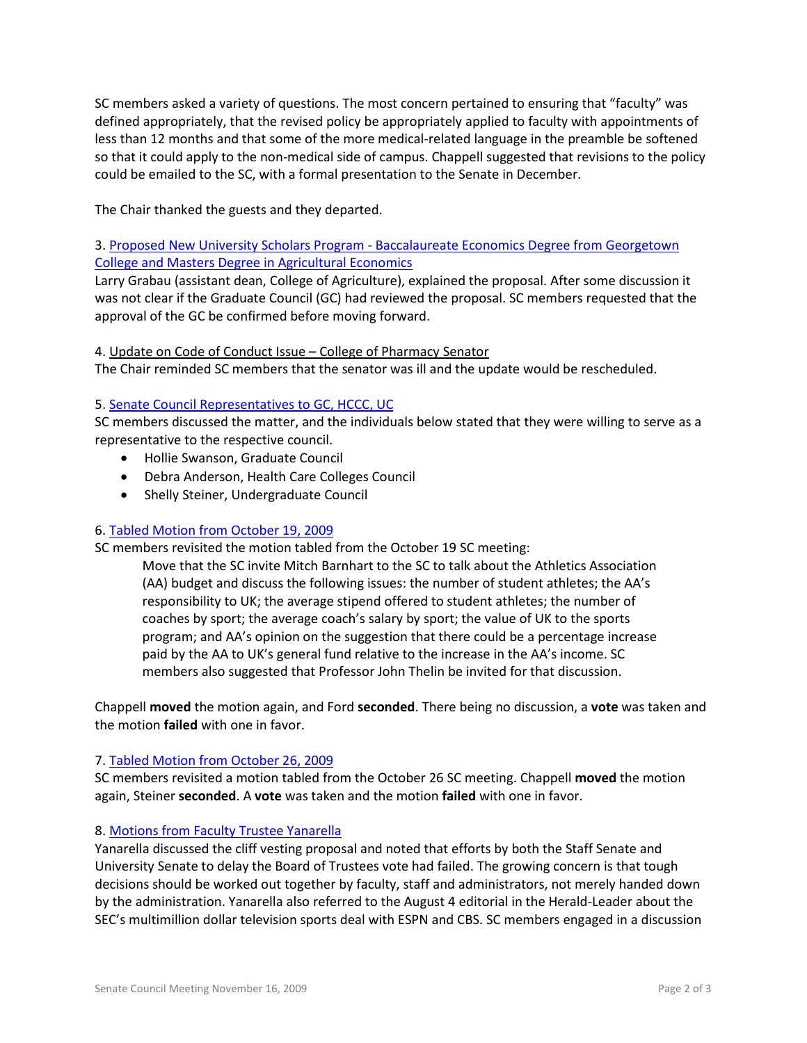SC members asked a variety of questions. The most concern pertained to ensuring that "faculty" was defined appropriately, that the revised policy be appropriately applied to faculty with appointments of less than 12 months and that some of the more medical-related language in the preamble be softened so that it could apply to the non-medical side of campus. Chappell suggested that revisions to the policy could be emailed to the SC, with a formal presentation to the Senate in December.

The Chair thanked the guests and they departed.

3. Proposed New University Scholars Program - [Baccalaureate Economics Degree from Georgetown](http://www.uky.edu/Faculty/Senate/files/Meetings/20091116a/Univ%20Scholars-Gtown%20&%20UK%20AgEco-New%20Program_Complete1.pdf)  [College and Masters Degree in Agricultural Economics](http://www.uky.edu/Faculty/Senate/files/Meetings/20091116a/Univ%20Scholars-Gtown%20&%20UK%20AgEco-New%20Program_Complete1.pdf)

Larry Grabau (assistant dean, College of Agriculture), explained the proposal. After some discussion it was not clear if the Graduate Council (GC) had reviewed the proposal. SC members requested that the approval of the GC be confirmed before moving forward.

# 4. Update on Code of Conduct Issue – College of Pharmacy Senator

The Chair reminded SC members that the senator was ill and the update would be rescheduled.

# 5. [Senate Council Representatives to GC, HCCC, UC](http://www.uky.edu/Faculty/Senate/files/Meetings/20091116a/Reps%20to%20Councils.pdf)

SC members discussed the matter, and the individuals below stated that they were willing to serve as a representative to the respective council.

- Hollie Swanson, Graduate Council
- Debra Anderson, Health Care Colleges Council
- Shelly Steiner, Undergraduate Council

### 6. [Tabled Motion from October 19, 2009](http://www.uky.edu/Faculty/Senate/files/Meetings/20091116a/Invite%20Barnhart%20Motion.pdf)

SC members revisited the motion tabled from the October 19 SC meeting:

Move that the SC invite Mitch Barnhart to the SC to talk about the Athletics Association (AA) budget and discuss the following issues: the number of student athletes; the AA's responsibility to UK; the average stipend offered to student athletes; the number of coaches by sport; the average coach's salary by sport; the value of UK to the sports program; and AA's opinion on the suggestion that there could be a percentage increase paid by the AA to UK's general fund relative to the increase in the AA's income. SC members also suggested that Professor John Thelin be invited for that discussion.

Chappell **moved** the motion again, and Ford **seconded**. There being no discussion, a **vote** was taken and the motion **failed** with one in favor.

### 7. [Tabled Motion from October 26, 2009](http://www.uky.edu/Faculty/Senate/files/Meetings/20091116a/Tabled%20Motion.pdf)

SC members revisited a motion tabled from the October 26 SC meeting. Chappell **moved** the motion again, Steiner **seconded**. A **vote** was taken and the motion **failed** with one in favor.

### 8. [Motions from Faculty Trustee Yanarella](http://www.uky.edu/Faculty/Senate/files/Meetings/20091116a/Two%20Proposed%20Motions%20to%20be%20Offered%20in%20Response%20to%20Item%206.pdf)

Yanarella discussed the cliff vesting proposal and noted that efforts by both the Staff Senate and University Senate to delay the Board of Trustees vote had failed. The growing concern is that tough decisions should be worked out together by faculty, staff and administrators, not merely handed down by the administration. Yanarella also referred to the August 4 editorial in the Herald-Leader about the SEC's multimillion dollar television sports deal with ESPN and CBS. SC members engaged in a discussion